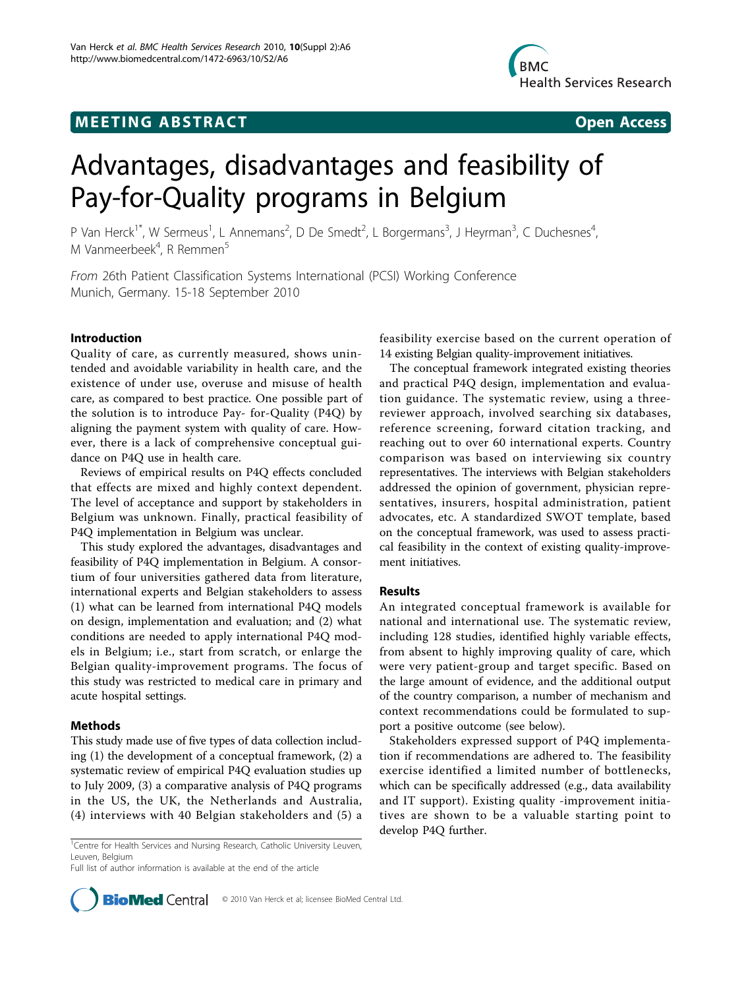## **MEETING ABSTRACT CONSUMING ABSTRACT**



# Advantages, disadvantages and feasibility of Pay-for-Quality programs in Belgium

P Van Herck<sup>1\*</sup>, W Sermeus<sup>1</sup>, L Annemans<sup>2</sup>, D De Smedt<sup>2</sup>, L Borgermans<sup>3</sup>, J Heyrman<sup>3</sup>, C Duchesnes<sup>4</sup> , M Vanmeerbeek<sup>4</sup>, R Remmen<sup>5</sup>

From 26th Patient Classification Systems International (PCSI) Working Conference Munich, Germany. 15-18 September 2010

#### Introduction

Quality of care, as currently measured, shows unintended and avoidable variability in health care, and the existence of under use, overuse and misuse of health care, as compared to best practice. One possible part of the solution is to introduce Pay- for-Quality (P4Q) by aligning the payment system with quality of care. However, there is a lack of comprehensive conceptual guidance on P4Q use in health care.

Reviews of empirical results on P4Q effects concluded that effects are mixed and highly context dependent. The level of acceptance and support by stakeholders in Belgium was unknown. Finally, practical feasibility of P4Q implementation in Belgium was unclear.

This study explored the advantages, disadvantages and feasibility of P4Q implementation in Belgium. A consortium of four universities gathered data from literature, international experts and Belgian stakeholders to assess (1) what can be learned from international P4Q models on design, implementation and evaluation; and (2) what conditions are needed to apply international P4Q models in Belgium; i.e., start from scratch, or enlarge the Belgian quality-improvement programs. The focus of this study was restricted to medical care in primary and acute hospital settings.

#### Methods

This study made use of five types of data collection including (1) the development of a conceptual framework, (2) a systematic review of empirical P4Q evaluation studies up to July 2009, (3) a comparative analysis of P4Q programs in the US, the UK, the Netherlands and Australia, (4) interviews with 40 Belgian stakeholders and (5) a

<sup>1</sup> Centre for Health Services and Nursing Research, Catholic University Leuven, Leuven, Belgium

Full list of author information is available at the end of the article

feasibility exercise based on the current operation of 14 existing Belgian quality-improvement initiatives.

The conceptual framework integrated existing theories and practical P4Q design, implementation and evaluation guidance. The systematic review, using a threereviewer approach, involved searching six databases, reference screening, forward citation tracking, and reaching out to over 60 international experts. Country comparison was based on interviewing six country representatives. The interviews with Belgian stakeholders addressed the opinion of government, physician representatives, insurers, hospital administration, patient advocates, etc. A standardized SWOT template, based on the conceptual framework, was used to assess practical feasibility in the context of existing quality-improvement initiatives.

#### Results

An integrated conceptual framework is available for national and international use. The systematic review, including 128 studies, identified highly variable effects, from absent to highly improving quality of care, which were very patient-group and target specific. Based on the large amount of evidence, and the additional output of the country comparison, a number of mechanism and context recommendations could be formulated to support a positive outcome (see below).

Stakeholders expressed support of P4Q implementation if recommendations are adhered to. The feasibility exercise identified a limited number of bottlenecks, which can be specifically addressed (e.g., data availability and IT support). Existing quality -improvement initiatives are shown to be a valuable starting point to develop P4Q further.